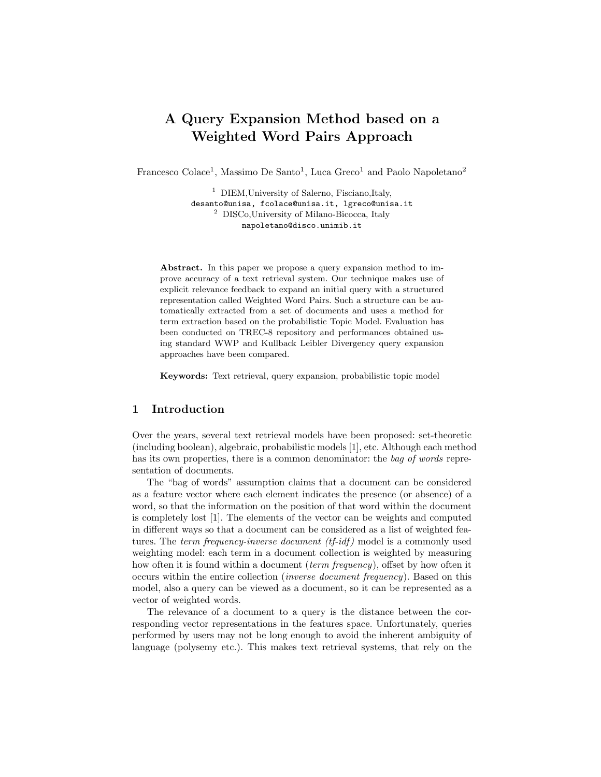# A Query Expansion Method based on a Weighted Word Pairs Approach

Francesco Colace<sup>1</sup>, Massimo De Santo<sup>1</sup>, Luca Greco<sup>1</sup> and Paolo Napoletano<sup>2</sup>

<sup>1</sup> DIEM, University of Salerno, Fisciano, Italy, desanto@unisa, fcolace@unisa.it, lgreco@unisa.it <sup>2</sup> DISCo,University of Milano-Bicocca, Italy napoletano@disco.unimib.it

Abstract. In this paper we propose a query expansion method to improve accuracy of a text retrieval system. Our technique makes use of explicit relevance feedback to expand an initial query with a structured representation called Weighted Word Pairs. Such a structure can be automatically extracted from a set of documents and uses a method for term extraction based on the probabilistic Topic Model. Evaluation has been conducted on TREC-8 repository and performances obtained using standard WWP and Kullback Leibler Divergency query expansion approaches have been compared.

Keywords: Text retrieval, query expansion, probabilistic topic model

# 1 Introduction

Over the years, several text retrieval models have been proposed: set-theoretic (including boolean), algebraic, probabilistic models [1], etc. Although each method has its own properties, there is a common denominator: the bag of words representation of documents.

The "bag of words" assumption claims that a document can be considered as a feature vector where each element indicates the presence (or absence) of a word, so that the information on the position of that word within the document is completely lost [1]. The elements of the vector can be weights and computed in different ways so that a document can be considered as a list of weighted features. The *term frequency-inverse document (tf-idf)* model is a commonly used weighting model: each term in a document collection is weighted by measuring how often it is found within a document *(term frequency)*, offset by how often it occurs within the entire collection (inverse document frequency). Based on this model, also a query can be viewed as a document, so it can be represented as a vector of weighted words.

The relevance of a document to a query is the distance between the corresponding vector representations in the features space. Unfortunately, queries performed by users may not be long enough to avoid the inherent ambiguity of language (polysemy etc.). This makes text retrieval systems, that rely on the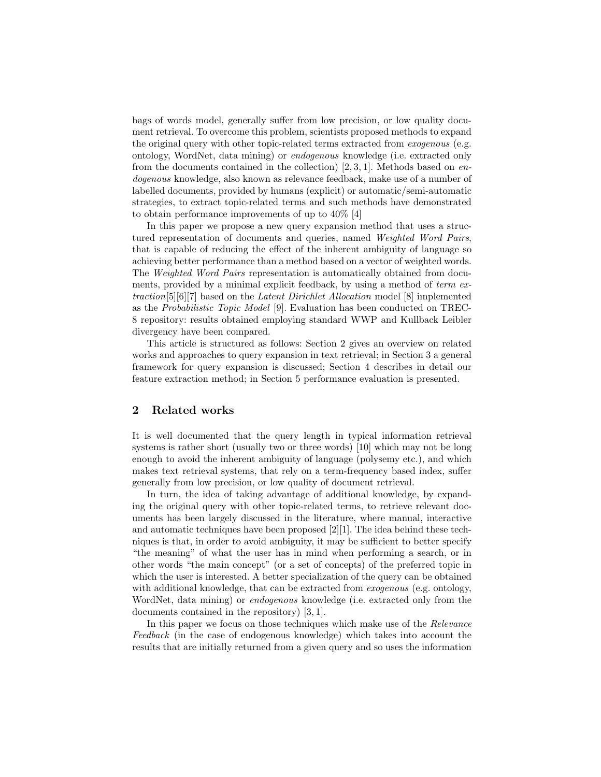bags of words model, generally suffer from low precision, or low quality document retrieval. To overcome this problem, scientists proposed methods to expand the original query with other topic-related terms extracted from *exogenous* (e.g. ontology, WordNet, data mining) or endogenous knowledge (i.e. extracted only from the documents contained in the collection)  $[2, 3, 1]$ . Methods based on endogenous knowledge, also known as relevance feedback, make use of a number of labelled documents, provided by humans (explicit) or automatic/semi-automatic strategies, to extract topic-related terms and such methods have demonstrated to obtain performance improvements of up to 40% [4]

In this paper we propose a new query expansion method that uses a structured representation of documents and queries, named Weighted Word Pairs, that is capable of reducing the effect of the inherent ambiguity of language so achieving better performance than a method based on a vector of weighted words. The Weighted Word Pairs representation is automatically obtained from documents, provided by a minimal explicit feedback, by using a method of term extraction[5][6][7] based on the Latent Dirichlet Allocation model [8] implemented as the Probabilistic Topic Model [9]. Evaluation has been conducted on TREC-8 repository: results obtained employing standard WWP and Kullback Leibler divergency have been compared.

This article is structured as follows: Section 2 gives an overview on related works and approaches to query expansion in text retrieval; in Section 3 a general framework for query expansion is discussed; Section 4 describes in detail our feature extraction method; in Section 5 performance evaluation is presented.

# 2 Related works

It is well documented that the query length in typical information retrieval systems is rather short (usually two or three words) [10] which may not be long enough to avoid the inherent ambiguity of language (polysemy etc.), and which makes text retrieval systems, that rely on a term-frequency based index, suffer generally from low precision, or low quality of document retrieval.

In turn, the idea of taking advantage of additional knowledge, by expanding the original query with other topic-related terms, to retrieve relevant documents has been largely discussed in the literature, where manual, interactive and automatic techniques have been proposed [2][1]. The idea behind these techniques is that, in order to avoid ambiguity, it may be sufficient to better specify "the meaning" of what the user has in mind when performing a search, or in other words "the main concept" (or a set of concepts) of the preferred topic in which the user is interested. A better specialization of the query can be obtained with additional knowledge, that can be extracted from *exogenous* (e.g. ontology, WordNet, data mining) or *endogenous* knowledge (i.e. extracted only from the documents contained in the repository) [3, 1].

In this paper we focus on those techniques which make use of the Relevance Feedback (in the case of endogenous knowledge) which takes into account the results that are initially returned from a given query and so uses the information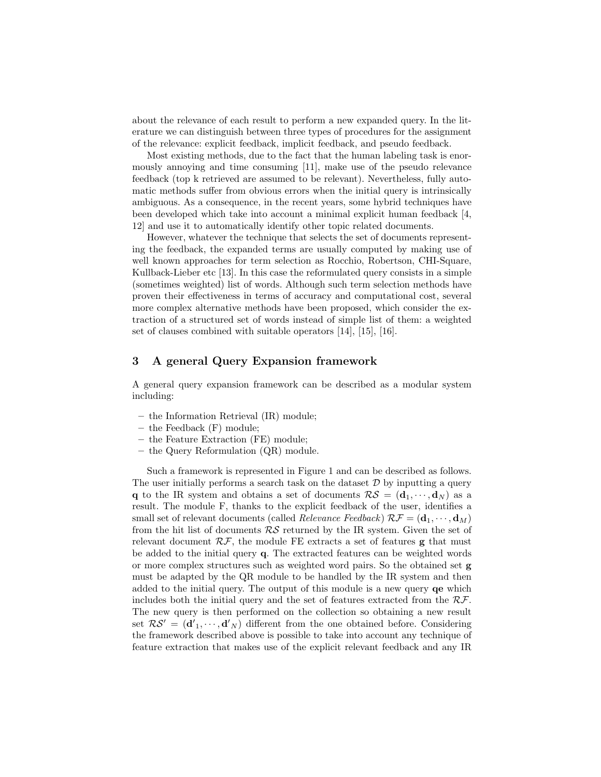about the relevance of each result to perform a new expanded query. In the literature we can distinguish between three types of procedures for the assignment of the relevance: explicit feedback, implicit feedback, and pseudo feedback.

Most existing methods, due to the fact that the human labeling task is enormously annoying and time consuming [11], make use of the pseudo relevance feedback (top k retrieved are assumed to be relevant). Nevertheless, fully automatic methods suffer from obvious errors when the initial query is intrinsically ambiguous. As a consequence, in the recent years, some hybrid techniques have been developed which take into account a minimal explicit human feedback [4, 12] and use it to automatically identify other topic related documents.

However, whatever the technique that selects the set of documents representing the feedback, the expanded terms are usually computed by making use of well known approaches for term selection as Rocchio, Robertson, CHI-Square, Kullback-Lieber etc [13]. In this case the reformulated query consists in a simple (sometimes weighted) list of words. Although such term selection methods have proven their effectiveness in terms of accuracy and computational cost, several more complex alternative methods have been proposed, which consider the extraction of a structured set of words instead of simple list of them: a weighted set of clauses combined with suitable operators [14], [15], [16].

# 3 A general Query Expansion framework

A general query expansion framework can be described as a modular system including:

- the Information Retrieval (IR) module;
- the Feedback (F) module;
- the Feature Extraction (FE) module;
- the Query Reformulation (QR) module.

Such a framework is represented in Figure 1 and can be described as follows. The user initially performs a search task on the dataset  $\mathcal D$  by inputting a query q to the IR system and obtains a set of documents  $\mathcal{RS} = (\mathbf{d}_1, \dots, \mathbf{d}_N)$  as a result. The module F, thanks to the explicit feedback of the user, identifies a small set of relevant documents (called *Relevance Feedback*)  $\mathcal{RF} = (\mathbf{d}_1, \cdots, \mathbf{d}_M)$ from the hit list of documents  $RS$  returned by the IR system. Given the set of relevant document  $\mathcal{RF}$ , the module FE extracts a set of features g that must be added to the initial query q. The extracted features can be weighted words or more complex structures such as weighted word pairs. So the obtained set g must be adapted by the QR module to be handled by the IR system and then added to the initial query. The output of this module is a new query qe which includes both the initial query and the set of features extracted from the  $\mathcal{RF}$ . The new query is then performed on the collection so obtaining a new result set  $\mathcal{RS}' = (\mathbf{d}'_1, \dots, \mathbf{d}'_N)$  different from the one obtained before. Considering the framework described above is possible to take into account any technique of feature extraction that makes use of the explicit relevant feedback and any IR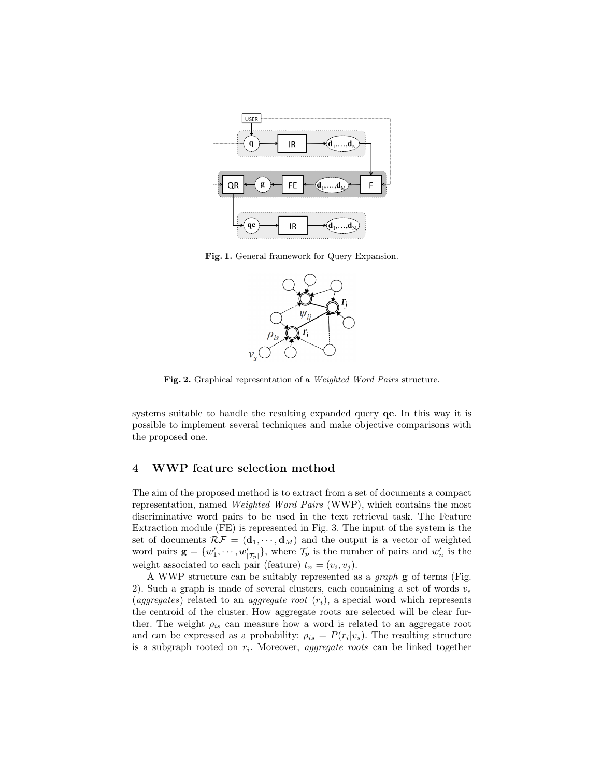

Fig. 1. General framework for Query Expansion.



Fig. 2. Graphical representation of a Weighted Word Pairs structure.

systems suitable to handle the resulting expanded query qe. In this way it is possible to implement several techniques and make objective comparisons with the proposed one.

#### 4 WWP feature selection method

The aim of the proposed method is to extract from a set of documents a compact representation, named Weighted Word Pairs (WWP), which contains the most discriminative word pairs to be used in the text retrieval task. The Feature Extraction module (FE) is represented in Fig. 3. The input of the system is the set of documents  $\mathcal{RF} = (\mathbf{d}_1, \cdots, \mathbf{d}_M)$  and the output is a vector of weighted word pairs  $\mathbf{g} = \{w'_1, \dots, w'_{|\mathcal{T}_p|}\},\$  where  $\mathcal{T}_p$  is the number of pairs and  $w'_n$  is the weight associated to each pair (feature)  $t_n = (v_i, v_j)$ .

A WWP structure can be suitably represented as a graph g of terms (Fig. 2). Such a graph is made of several clusters, each containing a set of words  $v_s$ (aggregates) related to an *aggregate root*  $(r_i)$ , a special word which represents the centroid of the cluster. How aggregate roots are selected will be clear further. The weight  $\rho_{is}$  can measure how a word is related to an aggregate root and can be expressed as a probability:  $\rho_{is} = P(r_i|v_s)$ . The resulting structure is a subgraph rooted on  $r_i$ . Moreover, *aggregate roots* can be linked together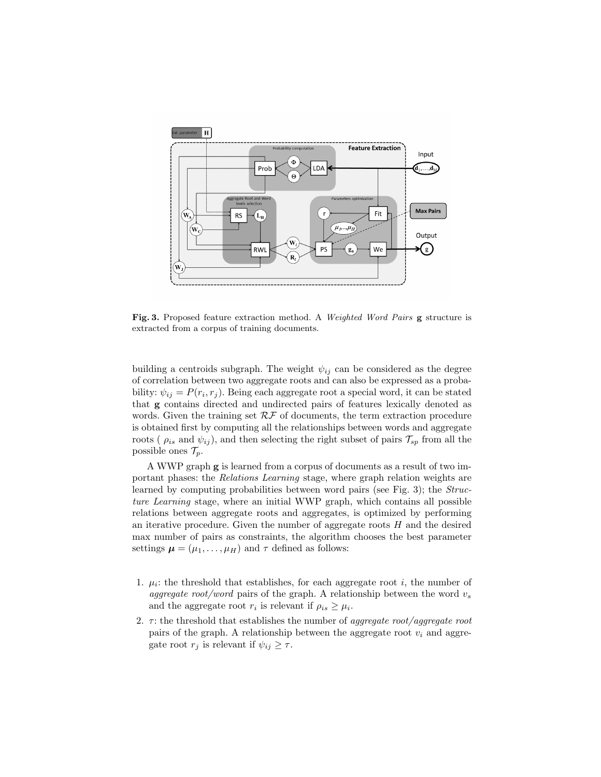

Fig. 3. Proposed feature extraction method. A Weighted Word Pairs g structure is extracted from a corpus of training documents.

building a centroids subgraph. The weight  $\psi_{ij}$  can be considered as the degree of correlation between two aggregate roots and can also be expressed as a probability:  $\psi_{ij} = P(r_i, r_j)$ . Being each aggregate root a special word, it can be stated that g contains directed and undirected pairs of features lexically denoted as words. Given the training set  $R\mathcal{F}$  of documents, the term extraction procedure is obtained first by computing all the relationships between words and aggregate roots ( $\rho_{is}$  and  $\psi_{ij}$ ), and then selecting the right subset of pairs  $\mathcal{T}_{sp}$  from all the possible ones  $\mathcal{T}_p$ .

A WWP graph g is learned from a corpus of documents as a result of two important phases: the Relations Learning stage, where graph relation weights are learned by computing probabilities between word pairs (see Fig. 3); the *Struc*ture Learning stage, where an initial WWP graph, which contains all possible relations between aggregate roots and aggregates, is optimized by performing an iterative procedure. Given the number of aggregate roots  $H$  and the desired max number of pairs as constraints, the algorithm chooses the best parameter settings  $\boldsymbol{\mu} = (\mu_1, \dots, \mu_H)$  and  $\tau$  defined as follows:

- 1.  $\mu_i$ : the threshold that establishes, for each aggregate root *i*, the number of aggregate root/word pairs of the graph. A relationship between the word  $v_s$ and the aggregate root  $r_i$  is relevant if  $\rho_{is} \geq \mu_i$ .
- 2.  $\tau$ : the threshold that establishes the number of *aggregate root/aggregate root* pairs of the graph. A relationship between the aggregate root  $v_i$  and aggregate root  $r_j$  is relevant if  $\psi_{ij} \geq \tau$ .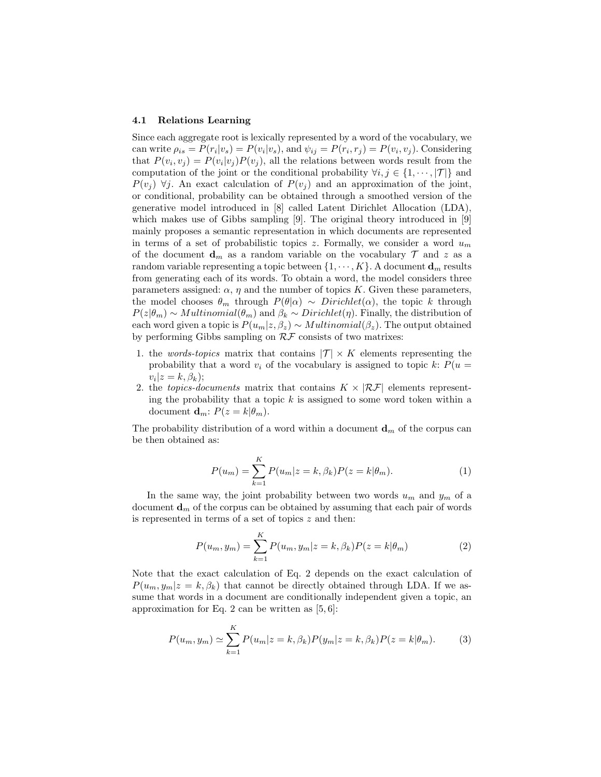#### 4.1 Relations Learning

Since each aggregate root is lexically represented by a word of the vocabulary, we can write  $\rho_{is} = P(r_i|v_s) = P(v_i|v_s)$ , and  $\psi_{ij} = P(r_i, r_j) = P(v_i, v_j)$ . Considering that  $P(v_i, v_j) = P(v_i|v_j)P(v_j)$ , all the relations between words result from the computation of the joint or the conditional probability  $\forall i, j \in \{1, \dots, |\mathcal{T}|\}$  and  $P(v_i)$   $\forall j$ . An exact calculation of  $P(v_j)$  and an approximation of the joint, or conditional, probability can be obtained through a smoothed version of the generative model introduced in [8] called Latent Dirichlet Allocation (LDA), which makes use of Gibbs sampling [9]. The original theory introduced in [9] mainly proposes a semantic representation in which documents are represented in terms of a set of probabilistic topics z. Formally, we consider a word  $u_m$ of the document  $\mathbf{d}_m$  as a random variable on the vocabulary  $\mathcal T$  and z as a random variable representing a topic between  $\{1, \dots, K\}$ . A document  $\mathbf{d}_m$  results from generating each of its words. To obtain a word, the model considers three parameters assigned:  $\alpha$ ,  $\eta$  and the number of topics K. Given these parameters, the model chooses  $\theta_m$  through  $P(\theta|\alpha) \sim Dirichlet(\alpha)$ , the topic k through  $P(z|\theta_m) \sim Multinomial(\theta_m)$  and  $\beta_k \sim Dirichlet(\eta)$ . Finally, the distribution of each word given a topic is  $P(u_m|z, \beta_z) \sim Multinomial(\beta_z)$ . The output obtained by performing Gibbs sampling on  $R\mathcal{F}$  consists of two matrixes:

- 1. the words-topics matrix that contains  $|\mathcal{T}| \times K$  elements representing the probability that a word  $v_i$  of the vocabulary is assigned to topic k:  $P(u =$  $v_i|z=k, \beta_k);$
- 2. the *topics-documents* matrix that contains  $K \times |\mathcal{RF}|$  elements representing the probability that a topic  $k$  is assigned to some word token within a document  $\mathbf{d}_m$ :  $P(z = k | \theta_m)$ .

The probability distribution of a word within a document  $\mathbf{d}_m$  of the corpus can be then obtained as:

$$
P(u_m) = \sum_{k=1}^{K} P(u_m | z = k, \beta_k) P(z = k | \theta_m).
$$
 (1)

In the same way, the joint probability between two words  $u_m$  and  $y_m$  of a document  $\mathbf{d}_m$  of the corpus can be obtained by assuming that each pair of words is represented in terms of a set of topics z and then:

$$
P(u_m, y_m) = \sum_{k=1}^{K} P(u_m, y_m | z = k, \beta_k) P(z = k | \theta_m)
$$
 (2)

Note that the exact calculation of Eq. 2 depends on the exact calculation of  $P(u_m, y_m|z = k, \beta_k)$  that cannot be directly obtained through LDA. If we assume that words in a document are conditionally independent given a topic, an approximation for Eq. 2 can be written as  $[5, 6]$ :

$$
P(u_m, y_m) \simeq \sum_{k=1}^{K} P(u_m | z = k, \beta_k) P(y_m | z = k, \beta_k) P(z = k | \theta_m).
$$
 (3)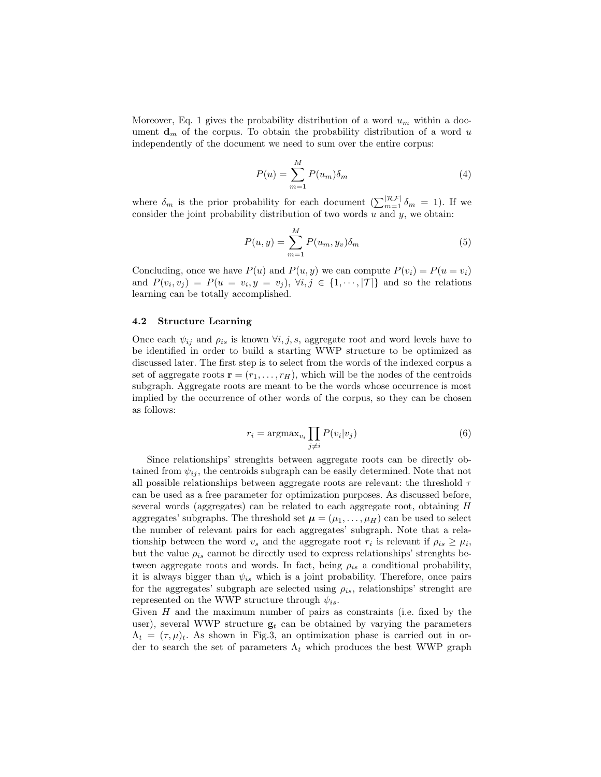Moreover, Eq. 1 gives the probability distribution of a word  $u_m$  within a document  $\mathbf{d}_m$  of the corpus. To obtain the probability distribution of a word u independently of the document we need to sum over the entire corpus:

$$
P(u) = \sum_{m=1}^{M} P(u_m) \delta_m \tag{4}
$$

where  $\delta_m$  is the prior probability for each document  $\left(\sum_{m=1}^{|\mathcal{RF}|} \delta_m = 1\right)$ . If we consider the joint probability distribution of two words  $u$  and  $y$ , we obtain:

$$
P(u,y) = \sum_{m=1}^{M} P(u_m, y_v) \delta_m \tag{5}
$$

Concluding, once we have  $P(u)$  and  $P(u, y)$  we can compute  $P(v_i) = P(u = v_i)$ and  $P(v_i, v_j) = P(u = v_i, y = v_j), \forall i, j \in \{1, \dots, |\mathcal{T}|\}$  and so the relations learning can be totally accomplished.

#### 4.2 Structure Learning

Once each  $\psi_{ij}$  and  $\rho_{is}$  is known  $\forall i, j, s$ , aggregate root and word levels have to be identified in order to build a starting WWP structure to be optimized as discussed later. The first step is to select from the words of the indexed corpus a set of aggregate roots  $\mathbf{r} = (r_1, \ldots, r_H)$ , which will be the nodes of the centroids subgraph. Aggregate roots are meant to be the words whose occurrence is most implied by the occurrence of other words of the corpus, so they can be chosen as follows:

$$
r_i = \operatorname{argmax}_{v_i} \prod_{j \neq i} P(v_i | v_j)
$$
\n<sup>(6)</sup>

Since relationships' strenghts between aggregate roots can be directly obtained from  $\psi_{ij}$ , the centroids subgraph can be easily determined. Note that not all possible relationships between aggregate roots are relevant: the threshold  $\tau$ can be used as a free parameter for optimization purposes. As discussed before, several words (aggregates) can be related to each aggregate root, obtaining H aggregates' subgraphs. The threshold set  $\mu = (\mu_1, \dots, \mu_H)$  can be used to select the number of relevant pairs for each aggregates' subgraph. Note that a relationship between the word  $v_s$  and the aggregate root  $r_i$  is relevant if  $\rho_{is} \geq \mu_i$ , but the value  $\rho_{is}$  cannot be directly used to express relationships' strenghts between aggregate roots and words. In fact, being  $\rho_{is}$  a conditional probability, it is always bigger than  $\psi_{is}$  which is a joint probability. Therefore, once pairs for the aggregates' subgraph are selected using  $\rho_{is}$ , relationships' strenght are represented on the WWP structure through  $\psi_{is}$ .

Given H and the maximum number of pairs as constraints (i.e. fixed by the user), several WWP structure  $g_t$  can be obtained by varying the parameters  $\Lambda_t = (\tau, \mu)_t$ . As shown in Fig.3, an optimization phase is carried out in order to search the set of parameters  $\Lambda_t$  which produces the best WWP graph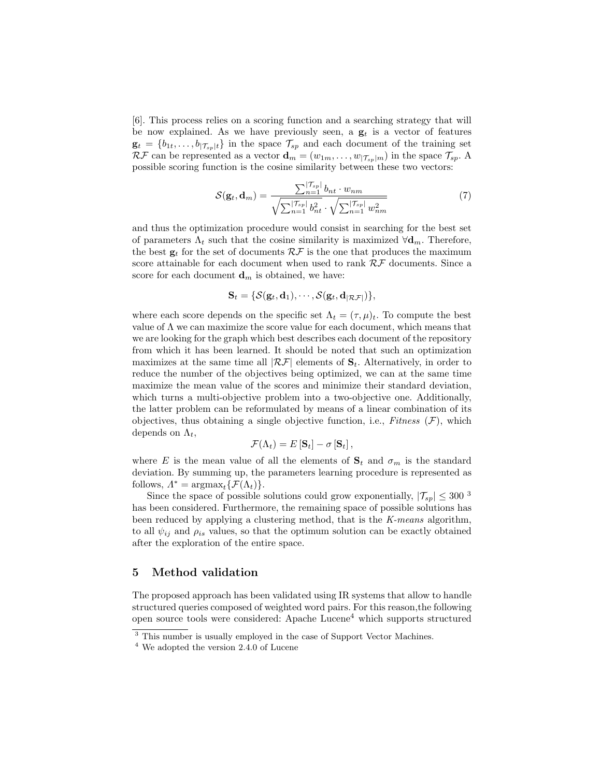[6]. This process relies on a scoring function and a searching strategy that will be now explained. As we have previously seen, a  $g_t$  is a vector of features  $\mathbf{g}_t = \{b_{1t}, \ldots, b_{|\mathcal{T}_{sp}|t}\}\$ in the space  $\mathcal{T}_{sp}$  and each document of the training set  $\mathcal{RF}$  can be represented as a vector  $\mathbf{d}_m = (w_{1m}, \dots, w_{|\mathcal{T}_{sp}|m})$  in the space  $\mathcal{T}_{sp}$ . A possible scoring function is the cosine similarity between these two vectors:

$$
S(\mathbf{g}_t, \mathbf{d}_m) = \frac{\sum_{n=1}^{|\mathcal{T}_{sp}|} b_{nt} \cdot w_{nm}}{\sqrt{\sum_{n=1}^{|\mathcal{T}_{sp}|} b_{nt}^2} \cdot \sqrt{\sum_{n=1}^{|\mathcal{T}_{sp}|} w_{nm}^2}}
$$
(7)

and thus the optimization procedure would consist in searching for the best set of parameters  $\Lambda_t$  such that the cosine similarity is maximized  $\forall \mathbf{d}_m$ . Therefore, the best  $\mathbf{g}_t$  for the set of documents  $\mathcal{RF}$  is the one that produces the maximum score attainable for each document when used to rank  $R\mathcal{F}$  documents. Since a score for each document  $\mathbf{d}_m$  is obtained, we have:

$$
\mathbf{S}_t = \{ \mathcal{S}(\mathbf{g}_t, \mathbf{d}_1), \cdots, \mathcal{S}(\mathbf{g}_t, \mathbf{d}_{|\mathcal{RF}|}) \},
$$

where each score depends on the specific set  $\Lambda_t = (\tau, \mu)_t$ . To compute the best value of  $\Lambda$  we can maximize the score value for each document, which means that we are looking for the graph which best describes each document of the repository from which it has been learned. It should be noted that such an optimization maximizes at the same time all  $|\mathcal{RF}|$  elements of  $S_t$ . Alternatively, in order to reduce the number of the objectives being optimized, we can at the same time maximize the mean value of the scores and minimize their standard deviation, which turns a multi-objective problem into a two-objective one. Additionally, the latter problem can be reformulated by means of a linear combination of its objectives, thus obtaining a single objective function, i.e., Fitness  $(F)$ , which depends on  $\Lambda_t$ ,

$$
\mathcal{F}(\Lambda_t) = E\left[\mathbf{S}_t\right] - \sigma\left[\mathbf{S}_t\right],
$$

where E is the mean value of all the elements of  $S_t$  and  $\sigma_m$  is the standard deviation. By summing up, the parameters learning procedure is represented as follows,  $\Lambda^* = \operatorname{argmax}_{t} {\{\mathcal{F}(\Lambda_t)\}}.$ 

Since the space of possible solutions could grow exponentially,  $|\mathcal{T}_{sp}| \leq 300^{-3}$ has been considered. Furthermore, the remaining space of possible solutions has been reduced by applying a clustering method, that is the K-means algorithm, to all  $\psi_{ij}$  and  $\rho_{is}$  values, so that the optimum solution can be exactly obtained after the exploration of the entire space.

## 5 Method validation

The proposed approach has been validated using IR systems that allow to handle structured queries composed of weighted word pairs. For this reason,the following open source tools were considered: Apache Lucene<sup>4</sup> which supports structured

<sup>&</sup>lt;sup>3</sup> This number is usually employed in the case of Support Vector Machines.

<sup>4</sup> We adopted the version 2.4.0 of Lucene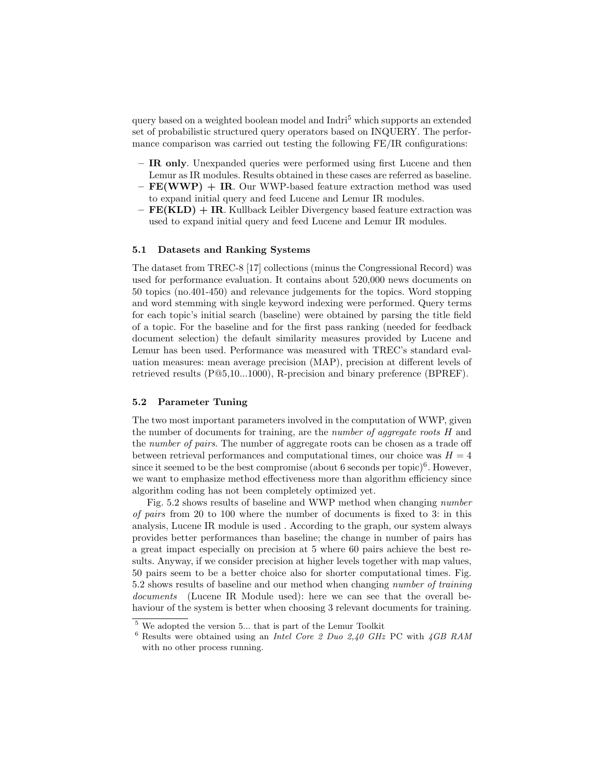query based on a weighted boolean model and Indri<sup>5</sup> which supports an extended set of probabilistic structured query operators based on INQUERY. The performance comparison was carried out testing the following FE/IR configurations:

- IR only. Unexpanded queries were performed using first Lucene and then Lemur as IR modules. Results obtained in these cases are referred as baseline.
- $-$  FE(WWP)  $+$  IR. Our WWP-based feature extraction method was used to expand initial query and feed Lucene and Lemur IR modules.
- $-$  **FE(KLD)**  $+$  **IR**. Kullback Leibler Divergency based feature extraction was used to expand initial query and feed Lucene and Lemur IR modules.

#### 5.1 Datasets and Ranking Systems

The dataset from TREC-8 [17] collections (minus the Congressional Record) was used for performance evaluation. It contains about 520,000 news documents on 50 topics (no.401-450) and relevance judgements for the topics. Word stopping and word stemming with single keyword indexing were performed. Query terms for each topic's initial search (baseline) were obtained by parsing the title field of a topic. For the baseline and for the first pass ranking (needed for feedback document selection) the default similarity measures provided by Lucene and Lemur has been used. Performance was measured with TREC's standard evaluation measures: mean average precision (MAP), precision at different levels of retrieved results (P@5,10...1000), R-precision and binary preference (BPREF).

#### 5.2 Parameter Tuning

The two most important parameters involved in the computation of WWP, given the number of documents for training, are the number of aggregate roots H and the number of pairs. The number of aggregate roots can be chosen as a trade off between retrieval performances and computational times, our choice was  $H = 4$ since it seemed to be the best compromise (about 6 seconds per topic)<sup>6</sup>. However, we want to emphasize method effectiveness more than algorithm efficiency since algorithm coding has not been completely optimized yet.

Fig. 5.2 shows results of baseline and WWP method when changing number of pairs from 20 to 100 where the number of documents is fixed to 3: in this analysis, Lucene IR module is used . According to the graph, our system always provides better performances than baseline; the change in number of pairs has a great impact especially on precision at 5 where 60 pairs achieve the best results. Anyway, if we consider precision at higher levels together with map values, 50 pairs seem to be a better choice also for shorter computational times. Fig. 5.2 shows results of baseline and our method when changing number of training documents (Lucene IR Module used): here we can see that the overall behaviour of the system is better when choosing 3 relevant documents for training.

<sup>5</sup> We adopted the version 5... that is part of the Lemur Toolkit

 $6$  Results were obtained using an *Intel Core 2 Duo 2,40 GHz* PC with  $4GB$  RAM with no other process running.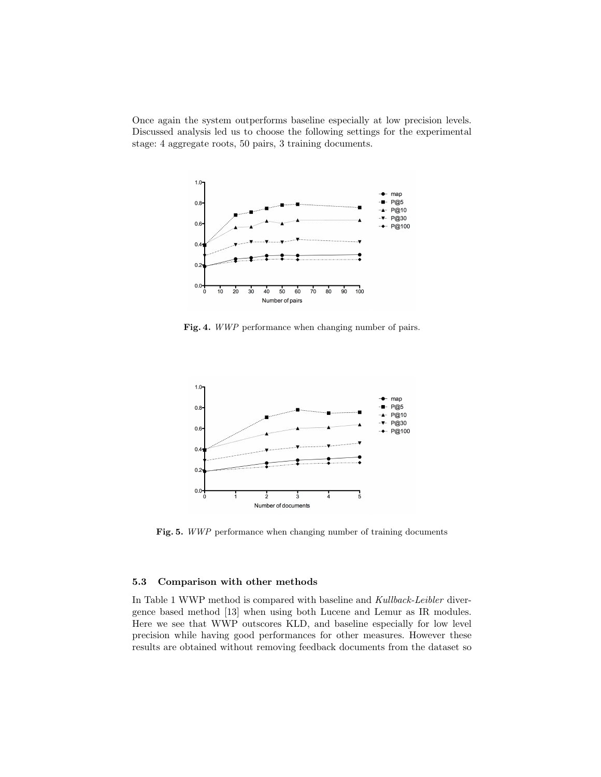Once again the system outperforms baseline especially at low precision levels. Discussed analysis led us to choose the following settings for the experimental stage: 4 aggregate roots, 50 pairs, 3 training documents.



Fig. 4. WWP performance when changing number of pairs.



Fig. 5. WWP performance when changing number of training documents

### 5.3 Comparison with other methods

In Table 1 WWP method is compared with baseline and Kullback-Leibler divergence based method [13] when using both Lucene and Lemur as IR modules. Here we see that WWP outscores KLD, and baseline especially for low level precision while having good performances for other measures. However these results are obtained without removing feedback documents from the dataset so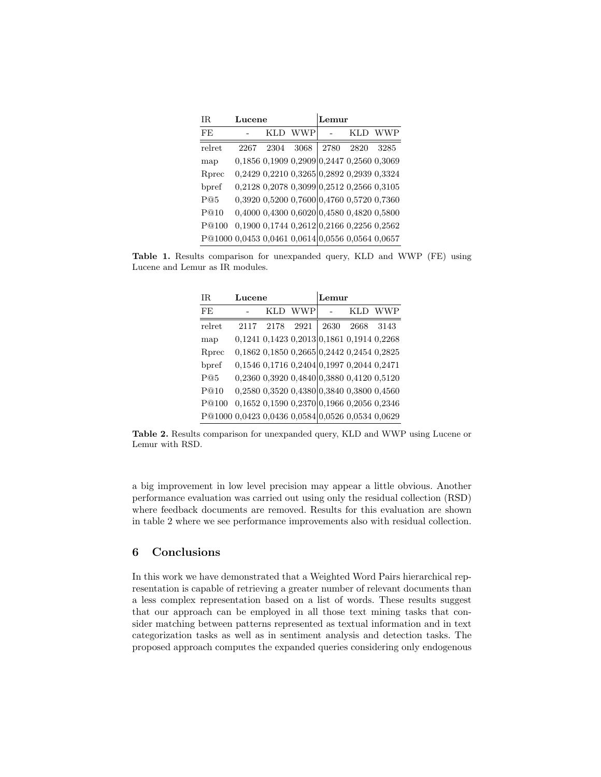| IR.                                              | Lucene |      |                                                       | Lemur |      |            |
|--------------------------------------------------|--------|------|-------------------------------------------------------|-------|------|------------|
| FE                                               |        | KLD  | <b>WWP</b>                                            |       | KLD  | <b>WWP</b> |
| relret                                           | 2267   | 2304 | 3068                                                  | 2780  | 2820 | 3285       |
| map                                              |        |      | 0,1856 0,1909 0,2909 0,2447 0,2560 0,3069             |       |      |            |
| Rprec                                            |        |      | 0,2429 0,2210 0,3265 0,2892 0,2939 0,3324             |       |      |            |
| bpref                                            |        |      | 0,2128 0,2078 0,3099 0,2512 0,2566 0,3105             |       |      |            |
| P@5                                              |        |      | 0,3920 0,5200 0,7600 0,4760 0,5720 0,7360             |       |      |            |
| P@10                                             |        |      | $0,4000$ $0,4300$ $0,6020$ $0,4580$ $0,4820$ $0,5800$ |       |      |            |
| P@100                                            |        |      | $0,1900$ $0,1744$ $0,2612$ $0,2166$ $0,2256$ $0,2562$ |       |      |            |
| P@1000 0,0453 0,0461 0,0614 0,0556 0,0564 0,0657 |        |      |                                                       |       |      |            |

Table 1. Results comparison for unexpanded query, KLD and WWP (FE) using Lucene and Lemur as IR modules.

| IR                                               | Lucene |      |                                                 | Lemur |      |            |
|--------------------------------------------------|--------|------|-------------------------------------------------|-------|------|------------|
| <b>FE</b>                                        |        |      | KLD WWP                                         |       | KLD. | <b>WWP</b> |
| relret                                           | 2117   | 2178 | 2921                                            | 2630  | 2668 | 3143       |
| map                                              |        |      | 0,1241 0,1423 0,2013 0,1861 0,1914 0,2268       |       |      |            |
| Rprec                                            |        |      | 0,1862 0,1850 0,2665 0,2442 0,2454 0,2825       |       |      |            |
| bpref                                            |        |      | 0,1546 0,1716 0,2404 0,1997 0,2044 0,2471       |       |      |            |
| P@5                                              |        |      | 0,2360 0,3920 0,4840 0,3880 0,4120 0,5120       |       |      |            |
| P@10                                             |        |      | 0,2580 0,3520 0,4380 0,3840 0,3800 0,4560       |       |      |            |
| P@100                                            |        |      | $0,1652$ $0,1590$ $0,2370$ 0,1966 0,2056 0,2346 |       |      |            |
| P@1000 0,0423 0,0436 0,0584 0,0526 0,0534 0,0629 |        |      |                                                 |       |      |            |

Table 2. Results comparison for unexpanded query, KLD and WWP using Lucene or Lemur with RSD.

a big improvement in low level precision may appear a little obvious. Another performance evaluation was carried out using only the residual collection (RSD) where feedback documents are removed. Results for this evaluation are shown in table 2 where we see performance improvements also with residual collection.

# 6 Conclusions

In this work we have demonstrated that a Weighted Word Pairs hierarchical representation is capable of retrieving a greater number of relevant documents than a less complex representation based on a list of words. These results suggest that our approach can be employed in all those text mining tasks that consider matching between patterns represented as textual information and in text categorization tasks as well as in sentiment analysis and detection tasks. The proposed approach computes the expanded queries considering only endogenous